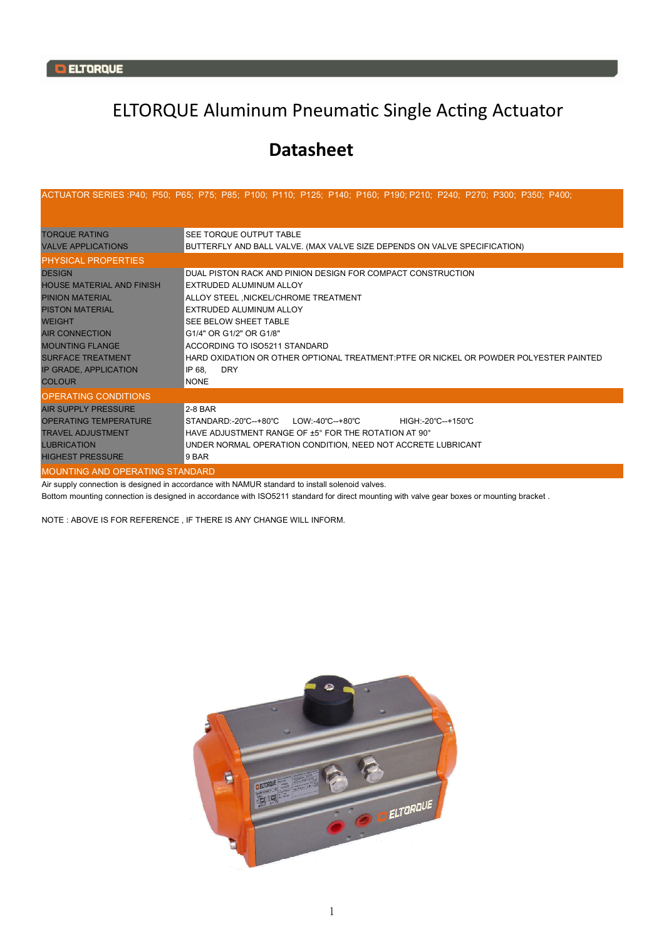## ELTORQUE Aluminum Pneumatic Single Acting Actuator

## **Datasheet**

|                                                                                                                                                                                                                                                        | ACTUATOR SERIES :P40; P50; P65; P75; P85; P100; P110; P125; P140; P160; P190; P210; P240; P270; P300; P350; P400;                                                                                                                                                                                                                                                                     |  |  |  |  |  |  |  |  |  |  |  |
|--------------------------------------------------------------------------------------------------------------------------------------------------------------------------------------------------------------------------------------------------------|---------------------------------------------------------------------------------------------------------------------------------------------------------------------------------------------------------------------------------------------------------------------------------------------------------------------------------------------------------------------------------------|--|--|--|--|--|--|--|--|--|--|--|
| <b>TORQUE RATING</b><br><b>VALVE APPLICATIONS</b>                                                                                                                                                                                                      | <b>SEE TORQUE OUTPUT TABLE</b><br>BUTTERFLY AND BALL VALVE. (MAX VALVE SIZE DEPENDS ON VALVE SPECIFICATION)                                                                                                                                                                                                                                                                           |  |  |  |  |  |  |  |  |  |  |  |
| <b>PHYSICAL PROPERTIES</b>                                                                                                                                                                                                                             |                                                                                                                                                                                                                                                                                                                                                                                       |  |  |  |  |  |  |  |  |  |  |  |
| <b>DESIGN</b><br><b>HOUSE MATERIAL AND FINISH</b><br><b>PINION MATERIAL</b><br><b>PISTON MATERIAL</b><br><b>WEIGHT</b><br><b>AIR CONNECTION</b><br><b>MOUNTING FLANGE</b><br><b>SURFACE TREATMENT</b><br><b>IP GRADE, APPLICATION</b><br><b>COLOUR</b> | DUAL PISTON RACK AND PINION DESIGN FOR COMPACT CONSTRUCTION<br>EXTRUDED ALUMINUM ALLOY<br>ALLOY STEEL, NICKEL/CHROME TREATMENT<br>EXTRUDED ALUMINUM ALLOY<br><b>SEE BELOW SHEET TABLE</b><br>G1/4" OR G1/2" OR G1/8"<br>ACCORDING TO ISO5211 STANDARD<br>HARD OXIDATION OR OTHER OPTIONAL TREATMENT:PTFE OR NICKEL OR POWDER POLYESTER PAINTED<br><b>DRY</b><br>IP 68.<br><b>NONE</b> |  |  |  |  |  |  |  |  |  |  |  |
| <b>OPERATING CONDITIONS</b>                                                                                                                                                                                                                            |                                                                                                                                                                                                                                                                                                                                                                                       |  |  |  |  |  |  |  |  |  |  |  |
| <b>AIR SUPPLY PRESSURE</b><br><b>OPERATING TEMPERATURE</b><br><b>TRAVEL ADJUSTMENT</b><br><b>LUBRICATION</b><br><b>HIGHEST PRESSURE</b>                                                                                                                | $2-8$ BAR<br>STANDARD:-20°C--+80°C<br>LOW:-40°C--+80°C<br>HIGH:-20°C--+150°C<br>$H$ AVE ADJUSTMENT RANGE OF $\pm 5^{\circ}$ FOR THE ROTATION AT 90 $^{\circ}$<br>UNDER NORMAL OPERATION CONDITION, NEED NOT ACCRETE LUBRICANT<br>9 BAR                                                                                                                                                |  |  |  |  |  |  |  |  |  |  |  |
| <b>MOUNTING AND OPERATING STANDARD</b>                                                                                                                                                                                                                 |                                                                                                                                                                                                                                                                                                                                                                                       |  |  |  |  |  |  |  |  |  |  |  |

Air supply connection is designed in accordance with NAMUR standard to install solenoid valves.

Bottom mounting connection is designed in accordance with ISO5211 standard for direct mounting with valve gear boxes or mounting bracket .

NOTE : ABOVE IS FOR REFERENCE , IF THERE IS ANY CHANGE WILL INFORM.

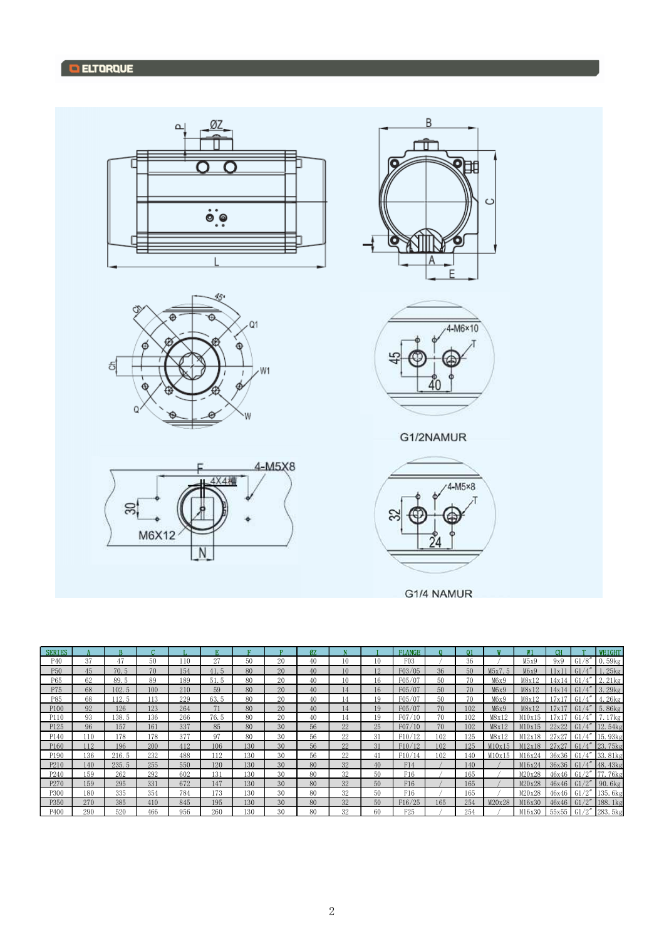

| <b>SERIES</b>   |     |       |     |     |      |     |    | Ø7. |    |    | <b>FLANGE</b>   |     | ω1  |        | $\mathbf{w}$ <sub>1</sub> | CН     |                       | <b>WEIGHT</b>       |
|-----------------|-----|-------|-----|-----|------|-----|----|-----|----|----|-----------------|-----|-----|--------|---------------------------|--------|-----------------------|---------------------|
| P <sub>40</sub> | 37  | 47    | 50  | 110 | 27   | 50  | 20 | 40  | 10 | 10 | F03             |     | 36  |        | M5x9                      | 9x9    | G1/8''                | 0.59kg              |
| P <sub>50</sub> | 45  | 70.5  | 70  | 154 | 41.5 | 80  | 20 | 40  | 10 | 12 | F03/05          | 36  | 50  | M5x7.5 | M6x9                      | 1x1    |                       | $.25$ <sub>kg</sub> |
| P65             | 62  | 89.5  | 89  | 189 | 51.5 | 80  | 20 | 40  | 10 | 16 | F05/07          | 50  | 70  | M6x9   | M8x12                     | 14x14  |                       | 2.21kg              |
| P75             | 68  | 102.5 | 100 | 210 | 59   | 80  | 20 | 40  | 14 | 16 | F05/07          | 50  | 70  | M6x9   | M8x12                     | 14x 14 | G1/4''                | 3.29kg              |
| P85             | 68  | 12.5  | 113 | 229 | 63.5 | 80  | 20 | 40  | 14 | 19 | F05/07          | 50  | 70  | M6x9   | M8x12                     | '7x1   | <b>G</b>              | 1.26kg              |
| P100            | 92  | 126   | 123 | 264 | 71   | 80  | 20 | 40  | 14 | 19 | F05/07          | 70  | 102 | M6x9   | M8x12                     | l7x1   |                       | 5.86kg              |
| P110            | 93  | 138.5 | 136 | 266 | 76.5 | 80  | 20 | 40  | 14 | 19 | F07/10          | 70  | 102 | M8x12  | M10x15                    | l7x1   | G1                    | 7.17kg              |
| P125            | 96  | 157   | 161 | 337 | 85   | 80  | 30 | 56  | 22 | 25 | F07/10          | 70  | 102 | M8x12  | M10x15                    | 22x22  | G1/4''                | 12.54kg             |
| P140            | 110 | 178   | 178 | 377 | 97   | 80  | 30 | 56  | 22 | 31 | F10/12          | 102 | 125 | M8x12  | M12x18                    | 27x27  | $\Lambda''$<br>G1     | 15.93kg             |
| P160            | 112 | 196   | 200 | 412 | 106  | 130 | 30 | 56  | 22 | 31 | F10/12          | 102 | 125 | M10x15 | M12x18                    | 27x27  | G1/4''                | 23.75kg             |
| P190            | 136 | 216.5 | 232 | 488 | 112  | 130 | 30 | 56  | 22 | 41 | F10/14          | 102 | 140 | M10x15 | M16x24                    | 36x36  | G1                    | 33.81kg             |
| P210            | 140 | 235.5 | 255 | 550 | 120  | 130 | 30 | 80  | 32 | 40 | F14             |     | 140 |        | M16x24                    | 36x36  | G1                    | 48.43kg             |
| P240            | 159 | 262   | 292 | 602 | 131  | 130 | 30 | 80  | 32 | 50 | F16             |     | 165 |        | M20x28                    | 46x46  | G1                    | 7.76kg              |
| P270            | 159 | 295   | 331 | 672 | 147  | 130 | 30 | 80  | 32 | 50 | F16             |     | 165 |        | M20x28                    | 46x46  | G1/2''                | 90.6kg              |
| P300            | 180 | 335   | 354 | 784 | 173  | 130 | 30 | 80  | 32 | 50 | F16             |     | 165 |        | M20x28                    | 46x46  | /2"<br>G <sub>1</sub> | 135.6kg             |
| P350            | 270 | 385   | 410 | 845 | 195  | 130 | 30 | 80  | 32 | 50 | F16/25          | 165 | 254 | M20x28 | M16x30                    | 46x46  | G1/2"                 | 188.1kg             |
| P400            | 290 | 520   | 466 | 956 | 260  | 130 | 30 | 80  | 32 | 60 | F <sub>25</sub> |     | 254 |        | M16x30                    | 55x55  | G1/2''                | 283.5kg             |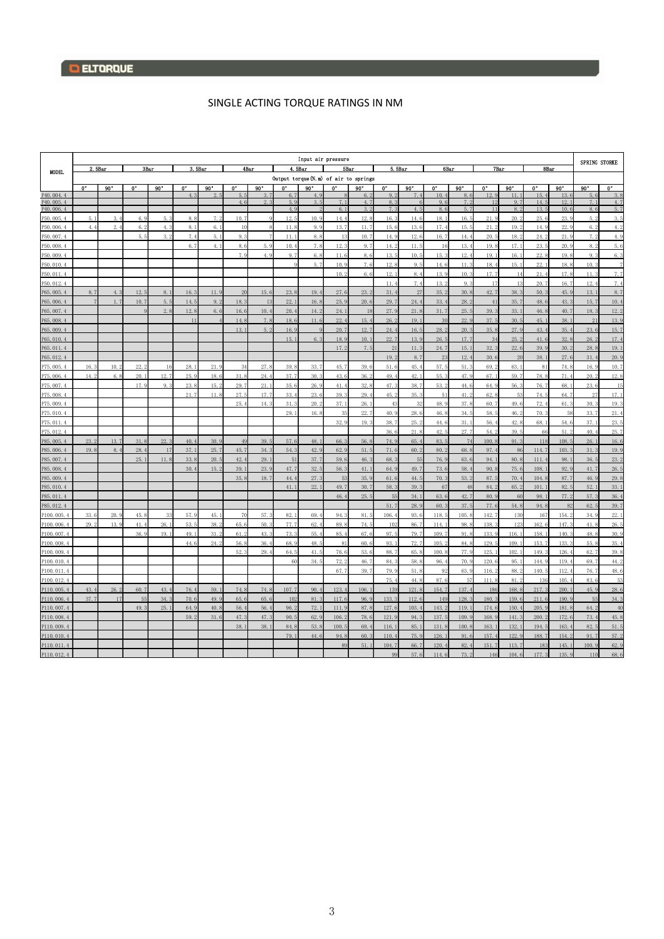## SINGLE ACTING TORQUE RATINGS IN NM

|                        |                | Input air pressure |      |              |             |         |      |      |                                       |      |             |             |                 |         |            |              |          |             |              |               |                      |                           |  |
|------------------------|----------------|--------------------|------|--------------|-------------|---------|------|------|---------------------------------------|------|-------------|-------------|-----------------|---------|------------|--------------|----------|-------------|--------------|---------------|----------------------|---------------------------|--|
|                        | 2.5Bar<br>3Bar |                    |      |              |             | 3. 5Bar |      | 4Bar | 4. 5Bar                               |      |             | <b>5Bar</b> |                 | 5. 5Bar |            | 6Bar         |          | <b>7Bar</b> |              | 8Bar          | <b>SPRING STORKE</b> |                           |  |
| <b>MODEL</b>           |                |                    |      |              |             |         |      |      | Output torque (N.m) of air to springs |      |             |             |                 |         |            |              |          |             |              |               |                      |                           |  |
|                        | 0°             | 90°                | 0°   | $90^{\circ}$ | $0^{\circ}$ | 90°     | 0°   | 90°  | O°                                    | 90°  | $0^{\circ}$ | 90°         | 0.              | 90°     | $0^\circ$  | $90^{\circ}$ | 0.       | $90^\circ$  | 0.           | $90^{\circ}$  | 90°                  | $\overline{\mathbf{0}^*}$ |  |
| P40.004.4              |                |                    |      |              |             |         | 5.3  |      | 6.7                                   | 4.9  |             | 6.          | 9.2             |         | 10.        | 8.6          | 12.9     | 11.         | 15.          | 13.6          | 5.6                  | $3.\xi$                   |  |
| P40.005.4<br>P40.006.4 |                |                    |      |              |             |         | 4.6  | 2.3  | 5.9<br>4.9                            | 3.5  | 7.1<br>6.1  | 4.7<br>3.2  | 8.3<br>7.3      | 4.5     | 9.6<br>8.6 | 7.2<br>5.7   | 12<br>11 | 9.7<br>8.2  | 14.5<br>13.5 | 12.1<br>10.6  | 7.1<br>8.6           | 4.7<br>5.7                |  |
| P50, 005, 4            | 5.1            | 3.                 | 6.9  | 5.3          | 8.1         | 7.      | 10.7 |      | 12.5                                  | 10.9 | 14.4        | 12.         | 16.3            | 14.6    | 18.        | 16.5         | 21.1     | 20.2        | 25.6         | 23.           | 5.2                  | 3.5                       |  |
| 950.006.4              | 4.4            | 2.                 | 6.2  | 4.3          | 8.1         | 6.1     | 10   |      | 11.8                                  | 9.9  | 13.7        | 11.         | 15.6            | 13.6    | 17.        | 15.5         | 21.      | 19.2        | 14.9         | 22.5          | 6.2                  | 4.2                       |  |
| 250, 007, 4            |                |                    | 5.5  | 3.2          | 7.4         | 5.1     | 9.3  |      | 11.1                                  | 8.8  | 13          | 10.7        | 14.9            | 12.6    | 16.7       | 14.4         | 20.5     | 18.2        | 24.2         | 21.9          | 7.2                  | 4.9                       |  |
| 950.008.4              |                |                    |      |              | 6.7         | 4.1     | 8.6  | 5.9  | 10.4                                  | 7.8  | 12.3        | 9.7         | 14.2            | 11.5    | 16         | 13.4         | 19.3     | 17.1        | 23.5         | 20.9          | 8.2                  | 5.6                       |  |
| 950, 009, 4            |                |                    |      |              |             |         | 7.9  | 4.9  | 9.7                                   | 6.8  | 11.6        | 8.6         | 13.5            | 10.5    | 15.        | 12.          | 19.1     | 16.1        | 22.1         | 19.3          | 9.3                  | 6.3                       |  |
| P50.010.4              |                |                    |      |              |             |         |      |      |                                       | 5.7  | 10.9        | 7.6         | 12.8            | 9.5     | 14.6       | 11.3         | 18.      | 15.1        | 22.1         | 18.1          | 10.3                 | $\overline{7}$            |  |
| 250.011.4              |                |                    |      |              |             |         |      |      |                                       |      | 10.2        | 6.6         | 12.1            | 8.4     | 13.9       | 10.3         | 17.7     | 14          | 21.          | 17.3          | 11.                  | 7.7                       |  |
| 950.012.4              |                |                    |      |              |             |         |      |      |                                       |      |             |             | 11.4            | 7.4     | 13.2       | 9.3          | 17       | 13          | 20.7         | 16.7          | 12.                  | 7.4                       |  |
| P65, 005, 4            | 8.7            | $\overline{4}$     | 12.  | 8.1          | 16.         | 11.     | 20   | 15.6 | 23.8                                  | 19.  | 27.6        | 23.         | 31.             | 27      | 35.        | 30.8         | 42.7     | 38.3        | 50.          | 45.9          | 13.1                 | 8.7                       |  |
| P65.006.4              |                | 1.7                | 10.7 | 5.5          | 14.5        | 9.2     | 18.3 | 13   | 22.1                                  | 16.8 | 25.9        | 20.6        | 29.7            | 24.4    | 33.        | 28.2         | 41       | 35.7        | 48.6         | 43.           | 15.7                 | 10.4                      |  |
| P65, 007, 4            |                |                    |      | 2.8          | 12.8        | 6.6     | 16.6 | 10.4 | 20.4                                  | 14.3 | 24.1        | 18          | 27.9            | 21.8    | 31.7       | 25.5         | 39.3     | 33.1        | 46.8         | 40.7          | 18.3                 | 12.2                      |  |
| P65.008.4              |                |                    |      |              | 11          |         | 14.8 | 7.8  | 18.6                                  | 11.6 | 22.4        | 15.4        | 26.2            | 19.1    | 30         | 22.9         | 37.5     | 30.5        | 45.1         | 38.1          | 21                   | 13.9                      |  |
| P65, 009, 4            |                |                    |      |              |             |         | 13.1 | 5.2  | 16.9                                  |      | 20.7        | 12.7        | 24.4            | 16.5    | 28.        | 20.3         | 35.8     | 27.9        | 43.4         | 35.           | 23.6                 | 15.7                      |  |
| P65.010.4              |                |                    |      |              |             |         |      |      | 15.1                                  | 6.3  | 18.9        | 10.1        | 22.7            | 13.9    | 26.5       | 17.7         | 34       | 25.2        | 41.6         | 32.8          | 26.2                 | 17.4                      |  |
| P65.011.4              |                |                    |      |              |             |         |      |      |                                       |      | 17.2        | 7.5         | 21              | 11.3    | 24.7       | 15.1         | 32.3     | 22.6        | 39.9         | 30.5          | 28.8                 | 19.1                      |  |
| P65.012.4              |                |                    |      |              |             |         |      |      |                                       |      |             |             | 19.2            | 8.7     | 2:         | 12.4         | 30.6     | 20          | 38.1         | 27.6          | 31.4                 | 20.9                      |  |
| 275, 005, 4            | 16.            | 10.                | 22.  | 16           | 28.         | 21.     | 34   | 27.  | 39.8                                  | 33.  | 45.         | 39.         | 51.6            | 45.4    | 57.        | 51.          | 69.      | 63.1        | 81           | 74.           | 16.5                 | 10.7                      |  |
| P75.006.4              | 14.1           | 6.                 | 20.  | 12.7         | 25.5        | 18.     | 31.1 | 24.4 | 37.7                                  | 30.  | 43.6        | 36.         | 49.4            | 42.1    | 55.        | 47.9         | 67.      | 59.7        | 78.8         | 71.           | 20.                  | 12.8                      |  |
| P75,007.4              |                |                    | 17.9 | 9.3          | 23.         | 15.2    | 29.7 | 21.1 | 35.6                                  | 26.5 | 41.4        | 32.5        | 47.3            | 38.7    | 53.        | 44.6         | 64.9     | 56.         | 76.7         | 68.           | 23.6                 | 15                        |  |
| P75.008.4              |                |                    |      |              | 21.7        | 11.8    | 27.5 | 17.7 | 33.4                                  | 23.6 | 39.3        | 29.         | 45.2            | 35.3    | 51         | 41.2         | 62.      | 53          | 74.5         | 64.7          | 27                   | 17.1                      |  |
| P75.009.4              |                |                    |      |              |             |         | 25.  | 14.3 | 31.3                                  | 20.  | 37.         | 26.         | 43              | 32      | 48.        | 37.8         | 60.      | 49.6        | 72.          | 61.           | 30.                  | 19.3                      |  |
| P75.010.4              |                |                    |      |              |             |         |      |      | 29.1                                  | 16.  | 35          | 22.         | 40.9            | 28.6    | 46.        | 34.5         | 58.      | 46.         | 70.1         | 58            | 33.7                 | 21.4                      |  |
| P75.011.4              |                |                    |      |              |             |         |      |      |                                       |      | 32.9        | 19.3        | 38.7            | 25.1    | 44.        | 31.1         | 56.      | 42.8        | 68.1         | 54.           | 37.                  | 23.5                      |  |
| P <sub>75</sub> .012.  |                |                    |      |              |             |         |      |      |                                       |      |             |             | 36.6            | 21.8    | 42.5       | 27.7         | 54.      | 39.5        | 66           | 51.           | 40.                  | 25.1                      |  |
| 285.005.4              | 23.1           | 13.                | 31.8 | 22.3         | 40.         | 30.5    | 49   | 39.5 | 57.6                                  | 48.  | 66.3        | 56.1        | 74.9            | 65.4    | 83.        | 74           | 100.8    | 91.3        | 118          | 108.          | 26.                  | 16.6                      |  |
| P85.006.4              | 19.8           | 8.                 | 28.  | 17           | 37.         | 25.7    | 45.7 | 34.3 | 54.3                                  | 42.9 | 62.9        | 51.         | 71.6            | 60.2    | 80.        | 68.8         | 97.      | 86          | 114.7        | 103.          | 31.3                 | 19.9                      |  |
| P85, 007, 4            |                |                    | 25.1 | 11.8         | 33.8        | 20.5    | 42.4 | 29.1 | 51                                    | 37.7 | 59.6        | 46.3        | 68.3            | 55      | 76.9       | 63.6         | 94.1     | 80.8        | 111.4        | 98.           | 36.5                 | 23.2                      |  |
| P85.008.4              |                |                    |      |              | 30.         | 15.     | 39.1 | 23.9 | 47.7                                  | 32.1 | 56.3        | 41.         | 64.9            | 49.7    | 73.1       | 58.4         | 90.1     | 75.6        | 108.         | 92.9          | 41.7                 | 26.5                      |  |
| P85.009.4              |                |                    |      |              |             |         | 35.8 | 18.7 | 44.4                                  | 27.  | 53          | 35.9        | 61.6            | 44.5    | 70.        | 53.2         | 87.3     | 70.4        | 104.8        | 87.           | 46.9                 | 29.8                      |  |
| P85.010.4              |                |                    |      |              |             |         |      |      | 41.1                                  | 22.7 | 49.7        | 30.7        | 58.3            | 39.3    | 67         | 48           | 84.3     | 65.         | 101.         | 82.5          | 52.1                 | 33.1                      |  |
| 985.011.4              |                |                    |      |              |             |         |      |      |                                       |      | 46.4        | 25.5        | 55              | 34.1    | 63.6       | 42.7         | 80.9     | 60          | 98.1         | 77.1          | 57.3                 | 36.4                      |  |
| P85.012.4              |                |                    |      |              |             |         |      |      |                                       |      |             |             | 51.7            | 28.9    | 60.        | 37.5         | 77.1     | 54.8        | 94.8         | $\mathcal{R}$ | 62.5                 | 39.7                      |  |
| P100.005.4             | 33.6           | 20.                | 45.8 | 33           | 57.1        | 45.     | 70   | 57.3 | 82.1                                  | 69.  | 94.3        | 81.         | 106.4           | 93.6    | 118.       | 105.8        | 142.     | 130         | 167          | 154.          | 34.9                 | 22.1                      |  |
| P100.006.4             | 29.1           | 13.                | 41.  | 26.          | 53.         | 38.     | 65.6 | 50.3 | 77.7                                  | 62.  | 89.1        | 74.         | 10 <sup>°</sup> | 86.7    | 114.       | 98.8         | 138.     | 123         | 162.6        | 147.          | 41.1                 | 26.5                      |  |
| P100.007.4             |                |                    | 36.9 | 19.1         | 49.         | 31.2    | 61.2 | 43.3 | 73.3                                  | 55.4 | 85.4        | 67.6        | 97.5            | 79.7    | 109.7      | 91.8         | 133.9    | 116.1       | 158.1        | 140.          | 48.8                 | 30.9                      |  |
| P100.008.              |                |                    |      |              | 44.         | 24.     | 56.1 | 36.4 | 68.9                                  | 48.  | 81          | 60.         | 93.             | 72.7    | 105.       | 84.8         | 129.     | 109.        | 153.         | 133.          | 55.8                 | 35.                       |  |
| P100.009.4             |                |                    |      |              |             |         | 52.3 | 29.4 | 64.5                                  | 41.1 | 76.6        | 53.         | 88.7            | 65.8    | 100.       | 77.9         | 125.     | 102.1       | 149.         | 126.          | 62.7                 | 39.8                      |  |
| P100.010.4             |                |                    |      |              |             |         |      |      | 60                                    | 34.5 | 72.5        | 46.         | 84.3            | 58.8    | 96.        | 70.9         | 120.6    | 95.         | 144.9        | 119.          | 69.7                 | 44.2                      |  |
| 9100.011.4             |                |                    |      |              |             |         |      |      |                                       |      | 67.7        | 39.7        | 79.9            | 51.8    | 92         | 63.9         | 116.     | 88.2        | 140.5        | 112.          | 76.7                 | 48.6                      |  |
| 9100.012.4             |                |                    |      |              |             |         |      |      |                                       |      |             |             | 75.4            | 44.8    | 87.6       | 57           | 111.8    | 81.         | 136          | 105.          | 83.6                 | 53                        |  |
| P110.005.4             | 43.            | 26.                | 60.7 | 43.4         | 76.         | 59.     | 74.8 | 74.8 | 107.7                                 | 90.  | 123.4       | 106.        | 139             | 121.8   | 154.       | 137.4        | 186      | 168.8       | 217.         | 200.          | 45.9                 | 28.6                      |  |
| P110,006.4             | 37.7           | 1 <sup>1</sup>     | 55   | 34.3         | 70.6        | 49.9    | 65.6 | 65.6 | 102                                   | 81.  | 117.6       | 96.9        | 133.3           | 112.6   | 149        | 128.3        | 180.3    | 159.6       | 211.6        | 190.9         | 55                   | 34.3                      |  |
| P110.007.4             |                |                    | 49.3 | 25.1         | 64.9        | 40.8    | 56.4 | 56.4 | 96.2                                  | 72.1 | 111.9       | 87.8        | 127.6           | 103.4   | 143.       | 119.1        | 174.6    | 150.4       | 205.9        | 181.8         | 64.2                 | 40                        |  |
| P110.008.4             |                |                    |      |              | 59.2        | 31.6    | 47.3 | 47.3 | 90.5                                  | 62.9 | 106.2       | 78.6        | 121.9           | 94.3    | 137.       | 109.9        | 168.9    | 141.        | 200.2        | 172.6         | 73.4                 | 45.8                      |  |
| P110.009.              |                |                    |      |              |             |         | 38.1 | 38.1 | 84.8                                  | 53.  | 100.5       | 69.         | 116.1           | 85.1    | 131.       | 100.1        | 163.     | 132.        | 194.         | 163.          | 82.5                 | 51.5                      |  |
| P110, 010, 4           |                |                    |      |              |             |         |      |      | 79.1                                  | 44.6 | 94.8        | 60.3        | 110.4           | 75.9    | 126.       | 91.6         | 157.     | 122.9       | 188.7        | 154.3         | 91.7                 | 57.2                      |  |
| P110.011.4             |                |                    |      |              |             |         |      |      |                                       |      | 89          | 51.         | 104.7           | 66.7    | 120.       | 82.          | 151.7    | 113.7       | 183          | 145.          | 100.9                | 62.9                      |  |
| P110.012.4             |                |                    |      |              |             |         |      |      |                                       |      |             |             | 99              | 57.6    | 114.6      | 73.2         | 146      | 104.6       | 177.3        | 135.          | 110                  | 68.6                      |  |